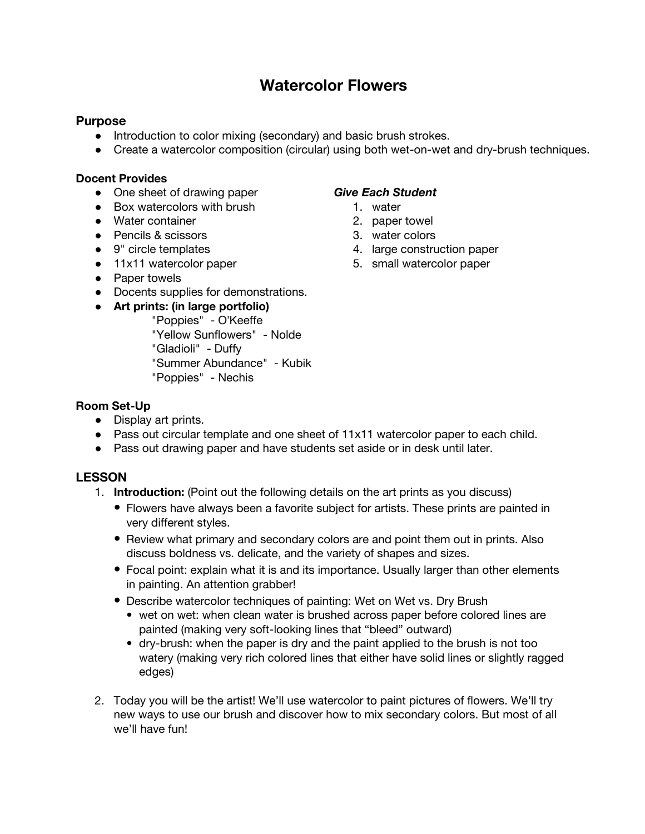# **Watercolor Flowers**

### **Purpose**

- Introduction to color mixing (secondary) and basic brush strokes.
- Create a watercolor composition (circular) using both wet-on-wet and dry-brush techniques.

### **Docent Provides**

- One sheet of drawing paper
- Box watercolors with brush
- Water container
- Pencils & scissors
- 9" circle templates
- 11x11 watercolor paper
- Paper towels
- Docents supplies for demonstrations.

# **● Art prints: (in large portfolio)**

"Poppies" - O'Keeffe "Yellow Sunflowers" - Nolde "Gladioli" - Duffy "Summer Abundance" - Kubik "Poppies" - Nechis

### *Give Each Student*

- 1. water
- 2. paper towel
- 3. water colors
- 4. large construction paper
- 5. small watercolor paper

### **Room Set-Up**

- Display art prints.
- Pass out circular template and one sheet of 11x11 watercolor paper to each child.
- Pass out drawing paper and have students set aside or in desk until later.

# **LESSON**

- 1. **Introduction:** (Point out the following details on the art prints as you discuss)
	- Flowers have always been a favorite subject for artists. These prints are painted in very different styles.
	- Review what primary and secondary colors are and point them out in prints. Also discuss boldness vs. delicate, and the variety of shapes and sizes.
	- Focal point: explain what it is and its importance. Usually larger than other elements in painting. An attention grabber!
	- Describe watercolor techniques of painting: Wet on Wet vs. Dry Brush
		- wet on wet: when clean water is brushed across paper before colored lines are painted (making very soft-looking lines that "bleed" outward)
		- dry-brush: when the paper is dry and the paint applied to the brush is not too watery (making very rich colored lines that either have solid lines or slightly ragged edges)
- 2. Today you will be the artist! We'll use watercolor to paint pictures of flowers. We'll try new ways to use our brush and discover how to mix secondary colors. But most of all we'll have fun!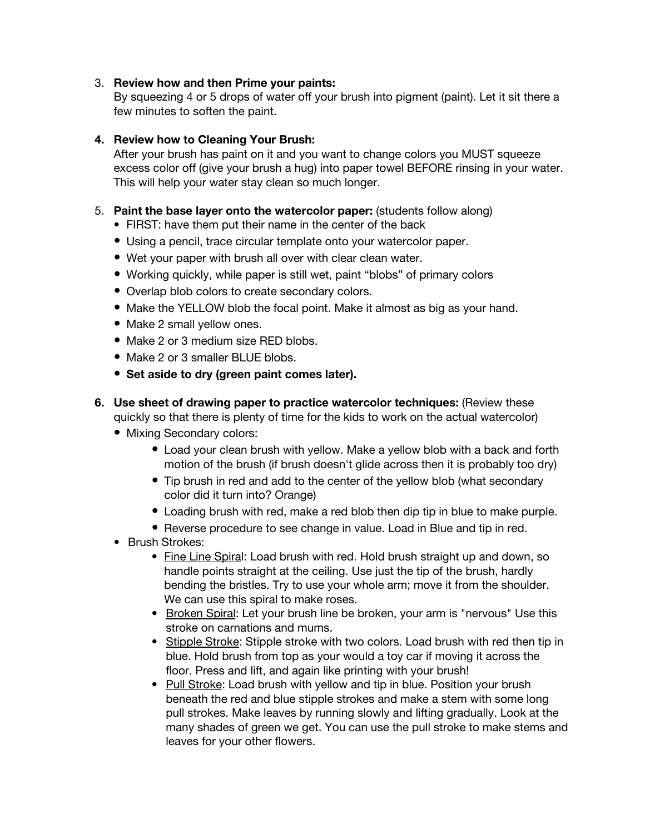### 3. **Review how and then Prime your paints:**

By squeezing 4 or 5 drops of water off your brush into pigment (paint). Let it sit there a few minutes to soften the paint.

### **4. Review how to Cleaning Your Brush:**

After your brush has paint on it and you want to change colors you MUST squeeze excess color off (give your brush a hug) into paper towel BEFORE rinsing in your water. This will help your water stay clean so much longer.

### 5. **Paint the base layer onto the watercolor paper:** (students follow along)

- FIRST: have them put their name in the center of the back
- Using a pencil, trace circular template onto your watercolor paper.
- Wet your paper with brush all over with clear clean water.
- Working quickly, while paper is still wet, paint "blobs" of primary colors
- Overlap blob colors to create secondary colors.
- Make the YELLOW blob the focal point. Make it almost as big as your hand.
- Make 2 small yellow ones.
- Make 2 or 3 medium size RED blobs.
- Make 2 or 3 smaller BLUE blobs.
- **Set aside to dry (green paint comes later).**
- **6. Use sheet of drawing paper to practice watercolor techniques:** (Review these quickly so that there is plenty of time for the kids to work on the actual watercolor)
	- Mixing Secondary colors:
		- Load your clean brush with yellow. Make a yellow blob with a back and forth motion of the brush (if brush doesn't glide across then it is probably too dry)
		- Tip brush in red and add to the center of the yellow blob (what secondary color did it turn into? Orange)
		- Loading brush with red, make a red blob then dip tip in blue to make purple.
		- Reverse procedure to see change in value. Load in Blue and tip in red.
	- Brush Strokes:
		- Fine Line Spiral: Load brush with red. Hold brush straight up and down, so handle points straight at the ceiling. Use just the tip of the brush, hardly bending the bristles. Try to use your whole arm; move it from the shoulder. We can use this spiral to make roses.
		- Broken Spiral: Let your brush line be broken, your arm is "nervous" Use this stroke on carnations and mums.
		- Stipple Stroke: Stipple stroke with two colors. Load brush with red then tip in blue. Hold brush from top as your would a toy car if moving it across the floor. Press and lift, and again like printing with your brush!
		- Pull Stroke: Load brush with yellow and tip in blue. Position your brush beneath the red and blue stipple strokes and make a stem with some long pull strokes. Make leaves by running slowly and lifting gradually. Look at the many shades of green we get. You can use the pull stroke to make stems and leaves for your other flowers.